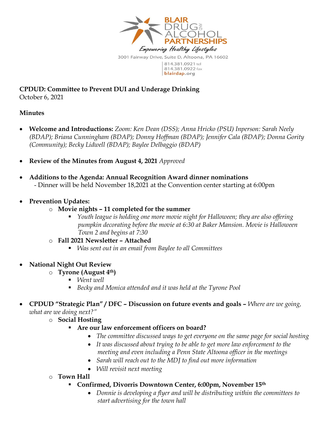

**CPDUD: Committee to Prevent DUI and Underage Drinking** October 6, 2021

#### **Minutes**

- **Welcome and Introductions:** *Zoom: Ken Dean (DSS); Anna Hricko (PSU) Inperson: Sarah Neely (BDAP); Briana Cunningham (BDAP); Donny Hoffman (BDAP); Jennifer Cala (BDAP); Donna Gority (Community); Becky Lidwell (BDAP); Baylee Delbaggio (BDAP)*
- **Review of the Minutes from August 4, 2021** *Approved*
- **Additions to the Agenda: Annual Recognition Award dinner nominations** - Dinner will be held November 18,2021 at the Convention center starting at 6:00pm
- **Prevention Updates:** 
	- o **Movie nights – 11 completed for the summer**
		- *Youth league is holding one more movie night for Halloween; they are also offering pumpkin decorating before the movie at 6:30 at Baker Mansion. Movie is Halloween Town 2 and begins at 7:30*
	- o **Fall 2021 Newsletter – Attached**
		- *Was sent out in an email from Baylee to all Committees*
- **National Night Out Review**
	- o **Tyrone (August 4th)**
		- *Went well*
		- *Becky and Monica attended and it was held at the Tyrone Pool*
- **CPDUD "Strategic Plan" / DFC – Discussion on future events and goals –** *Where are we going, what are we doing next?"*
	- o **Social Hosting** 
		- **Are our law enforcement officers on board?**
			- *The committee discussed ways to get everyone on the same page for social hosting*
			- *It was discussed about trying to be able to get more law enforcement to the meeting and even including a Penn State Altoona officer in the meetings*
			- *Sarah will reach out to the MDJ to find out more information*
			- *Will revisit next meeting*
	- o **Town Hall**
		- **Confirmed, Divorris Downtown Center, 6:00pm, November 15th**
			- *Donnie is developing a flyer and will be distributing within the committees to start advertising for the town hall*